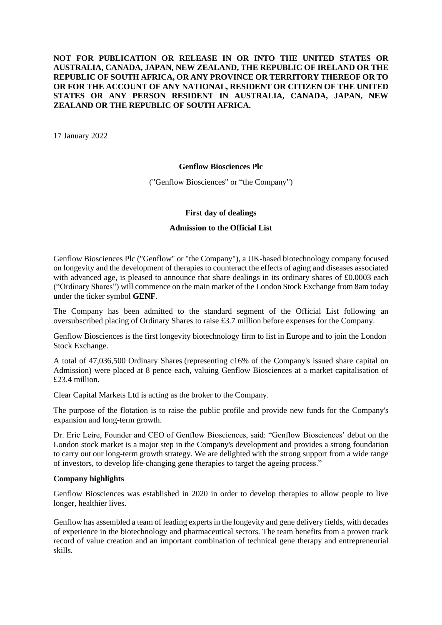## **NOT FOR PUBLICATION OR RELEASE IN OR INTO THE UNITED STATES OR AUSTRALIA, CANADA, JAPAN, NEW ZEALAND, THE REPUBLIC OF IRELAND OR THE REPUBLIC OF SOUTH AFRICA, OR ANY PROVINCE OR TERRITORY THEREOF OR TO OR FOR THE ACCOUNT OF ANY NATIONAL, RESIDENT OR CITIZEN OF THE UNITED STATES OR ANY PERSON RESIDENT IN AUSTRALIA, CANADA, JAPAN, NEW ZEALAND OR THE REPUBLIC OF SOUTH AFRICA.**

17 January 2022

### **Genflow Biosciences Plc**

("Genflow Biosciences" or "the Company")

## **First day of dealings**

### **Admission to the Official List**

Genflow Biosciences Plc ("Genflow" or "the Company"), a UK-based biotechnology company focused on longevity and the development of therapies to counteract the effects of aging and diseases associated with advanced age, is pleased to announce that share dealings in its ordinary shares of £0.0003 each ("Ordinary Shares") will commence on the main market of the London Stock Exchange from 8am today under the ticker symbol **GENF**.

The Company has been admitted to the standard segment of the Official List following an oversubscribed placing of Ordinary Shares to raise £3.7 million before expenses for the Company.

Genflow Biosciences is the first longevity biotechnology firm to list in Europe and to join the London Stock Exchange.

A total of 47,036,500 Ordinary Shares (representing c16% of the Company's issued share capital on Admission) were placed at 8 pence each, valuing Genflow Biosciences at a market capitalisation of £23.4 million.

Clear Capital Markets Ltd is acting as the broker to the Company.

The purpose of the flotation is to raise the public profile and provide new funds for the Company's expansion and long-term growth.

Dr. Eric Leire, Founder and CEO of Genflow Biosciences, said: "Genflow Biosciences' debut on the London stock market is a major step in the Company's development and provides a strong foundation to carry out our long-term growth strategy. We are delighted with the strong support from a wide range of investors, to develop life-changing gene therapies to target the ageing process."

## **Company highlights**

Genflow Biosciences was established in 2020 in order to develop therapies to allow people to live longer, healthier lives.

Genflow has assembled a team of leading experts in the longevity and gene delivery fields, with decades of experience in the biotechnology and pharmaceutical sectors. The team benefits from a proven track record of value creation and an important combination of technical gene therapy and entrepreneurial skills.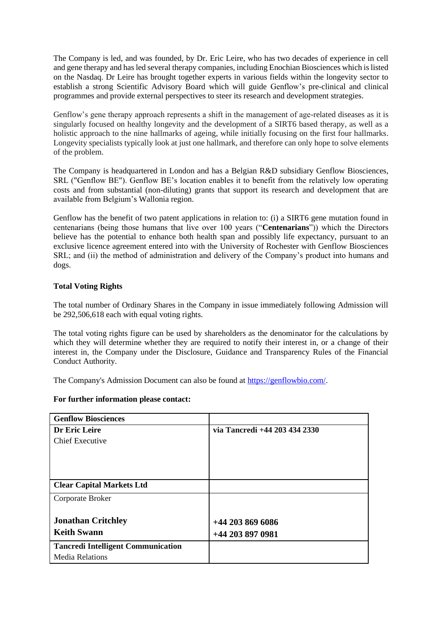The Company is led, and was founded, by Dr. Eric Leire, who has two decades of experience in cell and gene therapy and has led several therapy companies, including Enochian Biosciences which is listed on the Nasdaq. Dr Leire has brought together experts in various fields within the longevity sector to establish a strong Scientific Advisory Board which will guide Genflow's pre-clinical and clinical programmes and provide external perspectives to steer its research and development strategies.

Genflow's gene therapy approach represents a shift in the management of age-related diseases as it is singularly focused on healthy longevity and the development of a SIRT6 based therapy, as well as a holistic approach to the nine hallmarks of ageing, while initially focusing on the first four hallmarks. Longevity specialists typically look at just one hallmark, and therefore can only hope to solve elements of the problem.

The Company is headquartered in London and has a Belgian R&D subsidiary Genflow Biosciences, SRL ("Genflow BE"). Genflow BE's location enables it to benefit from the relatively low operating costs and from substantial (non-diluting) grants that support its research and development that are available from Belgium's Wallonia region.

Genflow has the benefit of two patent applications in relation to: (i) a SIRT6 gene mutation found in centenarians (being those humans that live over 100 years ("**Centenarians**")) which the Directors believe has the potential to enhance both health span and possibly life expectancy, pursuant to an exclusive licence agreement entered into with the University of Rochester with Genflow Biosciences SRL; and (ii) the method of administration and delivery of the Company's product into humans and dogs.

# **Total Voting Rights**

The total number of Ordinary Shares in the Company in issue immediately following Admission will be 292,506,618 each with equal voting rights.

The total voting rights figure can be used by shareholders as the denominator for the calculations by which they will determine whether they are required to notify their interest in, or a change of their interest in, the Company under the Disclosure, Guidance and Transparency Rules of the Financial Conduct Authority.

The Company's Admission Document can also be found at [https://genflowbio.com/.](https://genflowbio.com/)

#### **For further information please contact:**

| <b>Genflow Biosciences</b>                |                               |
|-------------------------------------------|-------------------------------|
| Dr Eric Leire                             | via Tancredi +44 203 434 2330 |
| <b>Chief Executive</b>                    |                               |
|                                           |                               |
|                                           |                               |
|                                           |                               |
| <b>Clear Capital Markets Ltd</b>          |                               |
| Corporate Broker                          |                               |
|                                           |                               |
| <b>Jonathan Critchley</b>                 | $+442038696086$               |
| <b>Keith Swann</b>                        | +44 203 897 0981              |
| <b>Tancredi Intelligent Communication</b> |                               |
| <b>Media Relations</b>                    |                               |